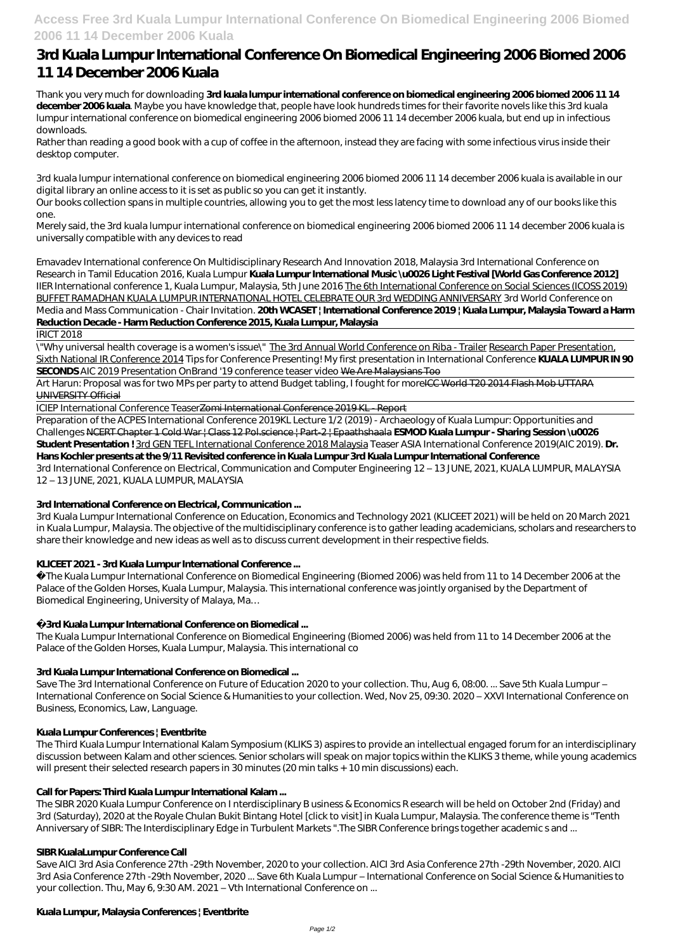**Access Free 3rd Kuala Lumpur International Conference On Biomedical Engineering 2006 Biomed 2006 11 14 December 2006 Kuala**

# **3rd Kuala Lumpur International Conference On Biomedical Engineering 2006 Biomed 2006 11 14 December 2006 Kuala**

Thank you very much for downloading **3rd kuala lumpur international conference on biomedical engineering 2006 biomed 2006 11 14 december 2006 kuala**. Maybe you have knowledge that, people have look hundreds times for their favorite novels like this 3rd kuala lumpur international conference on biomedical engineering 2006 biomed 2006 11 14 december 2006 kuala, but end up in infectious downloads.

Rather than reading a good book with a cup of coffee in the afternoon, instead they are facing with some infectious virus inside their desktop computer.

3rd kuala lumpur international conference on biomedical engineering 2006 biomed 2006 11 14 december 2006 kuala is available in our digital library an online access to it is set as public so you can get it instantly.

Our books collection spans in multiple countries, allowing you to get the most less latency time to download any of our books like this one.

Merely said, the 3rd kuala lumpur international conference on biomedical engineering 2006 biomed 2006 11 14 december 2006 kuala is universally compatible with any devices to read

Art Harun: Proposal was for two MPs per party to attend Budget tabling, I fought for moreICC World T20 2014 Flash Mob UTTARA UNIVERSITY Official

Emavadev International conference On Multidisciplinary Research And Innovation 2018, Malaysia *3rd International Conference on Research in Tamil Education 2016, Kuala Lumpur* **Kuala Lumpur International Music \u0026 Light Festival [World Gas Conference 2012]** *IIER International conference 1, Kuala Lumpur, Malaysia, 5th June 2016* The 6th International Conference on Social Sciences (ICOSS 2019) BUFFET RAMADHAN KUALA LUMPUR INTERNATIONAL HOTEL CELEBRATE OUR 3rd WEDDING ANNIVERSARY *3rd World Conference on Media and Mass Communication - Chair Invitation.* **20th WCASET | International Conference 2019 | Kuala Lumpur, Malaysia Toward a Harm Reduction Decade - Harm Reduction Conference 2015, Kuala Lumpur, Malaysia**

The Kuala Lumpur International Conference on Biomedical Engineering (Biomed 2006) was held from 11 to 14 December 2006 at the Palace of the Golden Horses, Kuala Lumpur, Malaysia. This international conference was jointly organised by the Department of Biomedical Engineering, University of Malaya, Ma...

IRICT 2018

\"Why universal health coverage is a women's issue\" The 3rd Annual World Conference on Riba - Trailer Research Paper Presentation, Sixth National IR Conference 2014 *Tips for Conference Presenting! My first presentation in International Conference* **KUALA LUMPUR IN 90 SECONDS** *AIC 2019 Presentation OnBrand '19 conference teaser video* We Are Malaysians Too

The Third Kuala Lumpur International Kalam Symposium (KLIKS 3) aspires to provide an intellectual engaged forum for an interdisciplinary discussion between Kalam and other sciences. Senior scholars will speak on major topics within the KLIKS 3 theme, while young academics will present their selected research papers in 30 minutes (20 min talks + 10 min discussions) each.

ICIEP International Conference TeaserZomi International Conference 2019 KL - Report

Preparation of the ACPES International Conference 2019*KL Lecture 1/2 (2019) - Archaeology of Kuala Lumpur: Opportunities and Challenges* NCERT Chapter 1 Cold War | Class 12 Pol.science | Part-2 | Epaathshaala **ESMOD Kuala Lumpur - Sharing Session \u0026 Student Presentation !** 3rd GEN TEFL International Conference 2018 Malaysia *Teaser ASIA International Conference 2019(AIC 2019).* **Dr. Hans Kochler presents at the 9/11 Revisited conference in Kuala Lumpur 3rd Kuala Lumpur International Conference** 3rd International Conference on Electrical, Communication and Computer Engineering 12 – 13 JUNE, 2021, KUALA LUMPUR, MALAYSIA 12 – 13 JUNE, 2021, KUALA LUMPUR, MALAYSIA

## **3rd International Conference on Electrical, Communication ...**

3rd Kuala Lumpur International Conference on Education, Economics and Technology 2021 (KLICEET 2021) will be held on 20 March 2021 in Kuala Lumpur, Malaysia. The objective of the multidisciplinary conference is to gather leading academicians, scholars and researchers to share their knowledge and new ideas as well as to discuss current development in their respective fields.

## **KLICEET 2021 - 3rd Kuala Lumpur International Conference ...**

## **3rd Kuala Lumpur International Conference on Biomedical ...**

The Kuala Lumpur International Conference on Biomedical Engineering (Biomed 2006) was held from 11 to 14 December 2006 at the Palace of the Golden Horses, Kuala Lumpur, Malaysia. This international co

#### **3rd Kuala Lumpur International Conference on Biomedical ...**

Save The 3rd International Conference on Future of Education 2020 to your collection. Thu, Aug 6, 08:00. ... Save 5th Kuala Lumpur – International Conference on Social Science & Humanities to your collection. Wed, Nov 25, 09:30. 2020 – XXVI International Conference on Business, Economics, Law, Language.

#### **Kuala Lumpur Conferences | Eventbrite**

#### **Call for Papers: Third Kuala Lumpur International Kalam ...**

The SIBR 2020 Kuala Lumpur Conference on I nterdisciplinary B usiness & Economics R esearch will be held on October 2nd (Friday) and 3rd (Saturday), 2020 at the Royale Chulan Bukit Bintang Hotel [click to visit] in Kuala Lumpur, Malaysia. The conference theme is "Tenth Anniversary of SIBR: The Interdisciplinary Edge in Turbulent Markets ".The SIBR Conference brings together academic s and ...

#### **SIBR KualaLumpur Conference Call**

Save AICI 3rd Asia Conference 27th -29th November, 2020 to your collection. AICI 3rd Asia Conference 27th -29th November, 2020. AICI 3rd Asia Conference 27th -29th November, 2020 ... Save 6th Kuala Lumpur – International Conference on Social Science & Humanities to your collection. Thu, May 6, 9:30 AM. 2021 – Vth International Conference on ...

#### **Kuala Lumpur, Malaysia Conferences | Eventbrite**